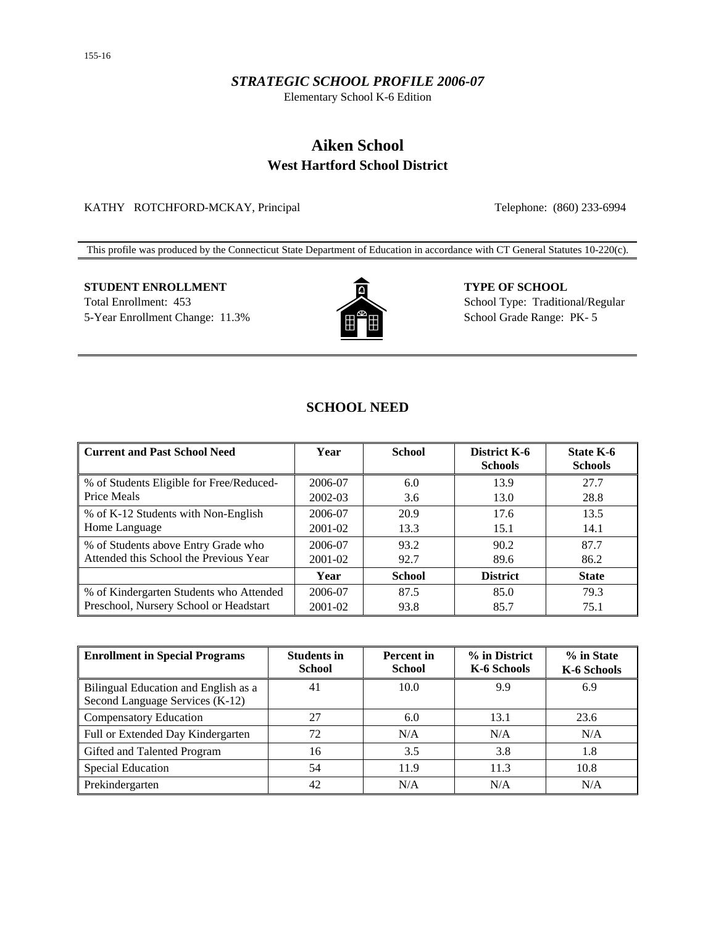### *STRATEGIC SCHOOL PROFILE 2006-07*

Elementary School K-6 Edition

# **Aiken School West Hartford School District**

KATHY ROTCHFORD-MCKAY, Principal Telephone: (860) 233-6994

This profile was produced by the Connecticut State Department of Education in accordance with CT General Statutes 10-220(c).

# **STUDENT ENROLLMENT TYPE OF SCHOOL** Total Enrollment: 453 School Type: Traditional/Regular



5-Year Enrollment Change: 11.3% **School Grade Range: PK-5** School Grade Range: PK-5

# **SCHOOL NEED**

| <b>Current and Past School Need</b>      | Year    | <b>School</b> | <b>District K-6</b><br><b>Schools</b> | State K-6<br><b>Schools</b> |
|------------------------------------------|---------|---------------|---------------------------------------|-----------------------------|
| % of Students Eligible for Free/Reduced- | 2006-07 | 6.0           | 13.9                                  | 27.7                        |
| Price Meals                              | 2002-03 | 3.6           | 13.0                                  | 28.8                        |
| % of K-12 Students with Non-English      | 2006-07 | 20.9          | 17.6                                  | 13.5                        |
| Home Language                            | 2001-02 | 13.3          | 15.1                                  | 14.1                        |
| % of Students above Entry Grade who      | 2006-07 | 93.2          | 90.2                                  | 87.7                        |
| Attended this School the Previous Year   | 2001-02 | 92.7          | 89.6                                  | 86.2                        |
|                                          | Year    | <b>School</b> | <b>District</b>                       | <b>State</b>                |
| % of Kindergarten Students who Attended  | 2006-07 | 87.5          | 85.0                                  | 79.3                        |
| Preschool, Nursery School or Headstart   | 2001-02 | 93.8          | 85.7                                  | 75.1                        |

| <b>Enrollment in Special Programs</b>                                   | <b>Students in</b><br><b>School</b> | <b>Percent</b> in<br><b>School</b> | % in District<br>K-6 Schools | % in State<br>K-6 Schools |
|-------------------------------------------------------------------------|-------------------------------------|------------------------------------|------------------------------|---------------------------|
| Bilingual Education and English as a<br>Second Language Services (K-12) | 41                                  | 10.0                               | 9.9                          | 6.9                       |
| <b>Compensatory Education</b>                                           | 27                                  | 6.0                                | 13.1                         | 23.6                      |
| Full or Extended Day Kindergarten                                       | 72                                  | N/A                                | N/A                          | N/A                       |
| Gifted and Talented Program                                             | 16                                  | 3.5                                | 3.8                          | 1.8                       |
| <b>Special Education</b>                                                | 54                                  | 11.9                               | 11.3                         | 10.8                      |
| Prekindergarten                                                         | 42                                  | N/A                                | N/A                          | N/A                       |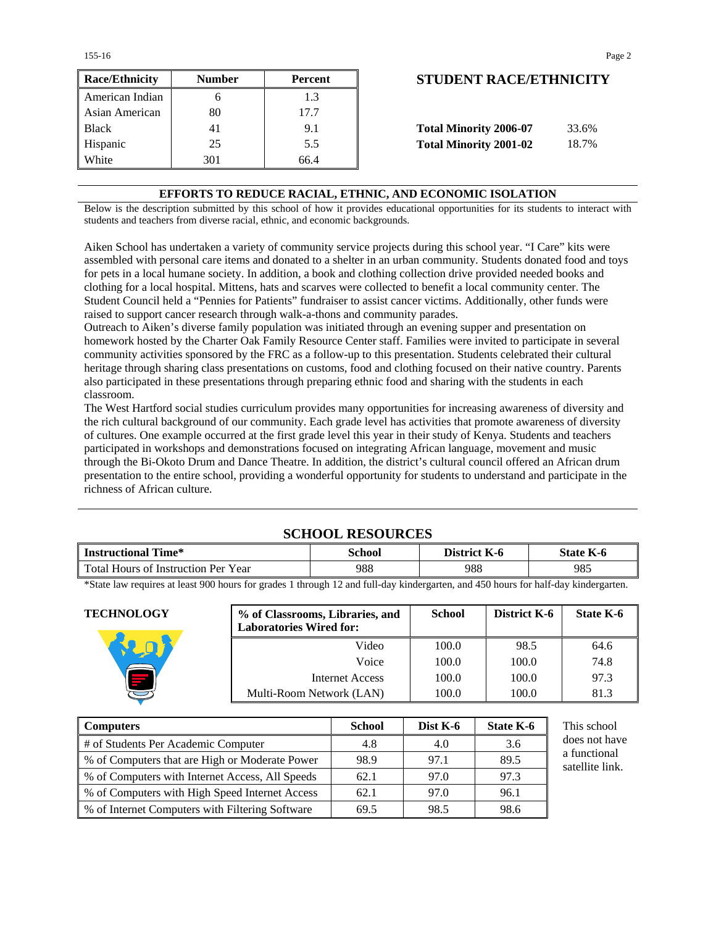155-16 Page 2

| <b>Race/Ethnicity</b> | <b>Number</b> | Percent | <b>STUDENT RACE/ETHNICIT</b>           |
|-----------------------|---------------|---------|----------------------------------------|
| American Indian       | n             | 1.3     |                                        |
| Asian American        | 80            | 17.7    |                                        |
| <b>Black</b>          | 41            | 9.1     | <b>Total Minority 2006-07</b><br>33.6% |
| Hispanic              | 25            | 5.5     | <b>Total Minority 2001-02</b><br>18.7% |
| White                 | 301           | 66.4    |                                        |

# **Race/Ethnicity Number Percent STUDENT RACE/ETHNICITY**

| <b>Total Minority 2006-07</b> | 33.6% |
|-------------------------------|-------|
| <b>Total Minority 2001-02</b> | 18.7% |

### **EFFORTS TO REDUCE RACIAL, ETHNIC, AND ECONOMIC ISOLATION**

Below is the description submitted by this school of how it provides educational opportunities for its students to interact with students and teachers from diverse racial, ethnic, and economic backgrounds.

Aiken School has undertaken a variety of community service projects during this school year. "I Care" kits were assembled with personal care items and donated to a shelter in an urban community. Students donated food and toys for pets in a local humane society. In addition, a book and clothing collection drive provided needed books and clothing for a local hospital. Mittens, hats and scarves were collected to benefit a local community center. The Student Council held a "Pennies for Patients" fundraiser to assist cancer victims. Additionally, other funds were raised to support cancer research through walk-a-thons and community parades.

Outreach to Aiken's diverse family population was initiated through an evening supper and presentation on homework hosted by the Charter Oak Family Resource Center staff. Families were invited to participate in several community activities sponsored by the FRC as a follow-up to this presentation. Students celebrated their cultural heritage through sharing class presentations on customs, food and clothing focused on their native country. Parents also participated in these presentations through preparing ethnic food and sharing with the students in each classroom.

The West Hartford social studies curriculum provides many opportunities for increasing awareness of diversity and the rich cultural background of our community. Each grade level has activities that promote awareness of diversity of cultures. One example occurred at the first grade level this year in their study of Kenya. Students and teachers participated in workshops and demonstrations focused on integrating African language, movement and music through the Bi-Okoto Drum and Dance Theatre. In addition, the district's cultural council offered an African drum presentation to the entire school, providing a wonderful opportunity for students to understand and participate in the richness of African culture.

# **SCHOOL RESOURCES**

| Time*                                        | school | <b>District</b> | $\mathbf{r}$     |  |
|----------------------------------------------|--------|-----------------|------------------|--|
| <b>Instructional</b>                         |        | - K-0           | <b>State K-6</b> |  |
| Total<br>Year<br>Hnstruction Per<br>Hours of | 988    | 988             | 985              |  |

\*State law requires at least 900 hours for grades 1 through 12 and full-day kindergarten, and 450 hours for half-day kindergarten.

| <b>TECHNOLOGY</b> | % of Classrooms, Libraries, and<br><b>Laboratories Wired for:</b> | <b>School</b> | <b>District K-6</b> | State K-6 |
|-------------------|-------------------------------------------------------------------|---------------|---------------------|-----------|
|                   | Video                                                             | 100.0         | 98.5                | 64.6      |
|                   | Voice                                                             | 100.0         | 100.0               | 74.8      |
|                   | Internet Access                                                   | 100.0         | 100.0               | 97.3      |
|                   | Multi-Room Network (LAN)                                          | 100.0         | 100.0               | 81.3      |

| <b>Computers</b>                                   | <b>School</b> | $Dist K-6$ | State K-6 | This school                     |
|----------------------------------------------------|---------------|------------|-----------|---------------------------------|
| # of Students Per Academic Computer                | 4.8           | 4.0        | 3.6       | does not have                   |
| \% of Computers that are High or Moderate Power    | 98.9          | 97.1       | 89.5      | a functional<br>satellite link. |
| % of Computers with Internet Access, All Speeds    | 62.1          | 97.0       | 97.3      |                                 |
| % of Computers with High Speed Internet Access     | 62.1          | 97.0       | 96.1      |                                 |
| \, % of Internet Computers with Filtering Software | 69.5          | 98.5       | 98.6      |                                 |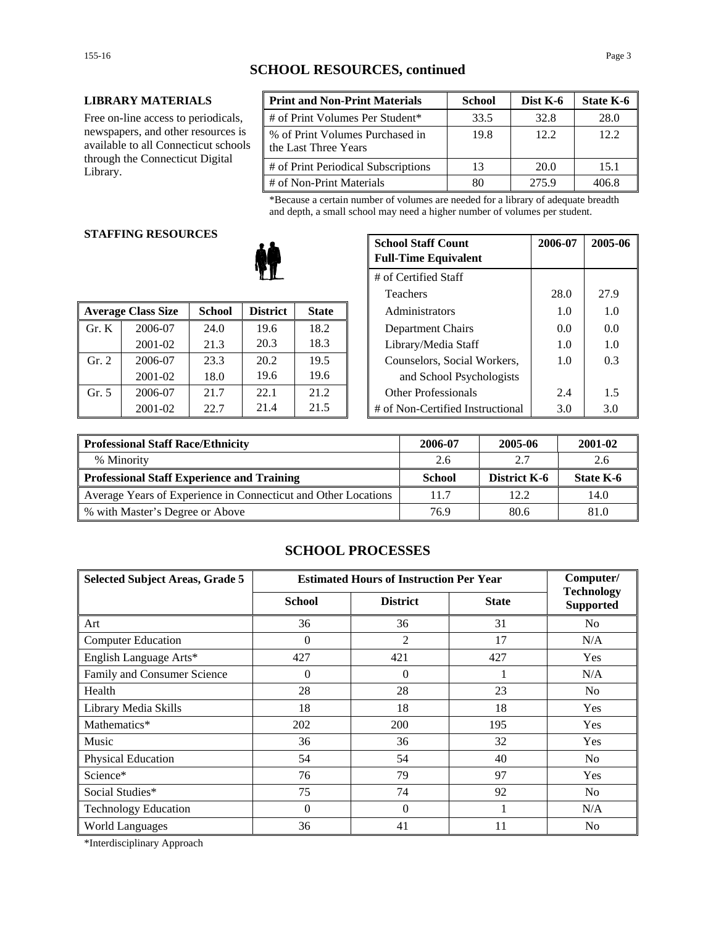# **SCHOOL RESOURCES, continued**

#### **LIBRARY MATERIALS**

Free on-line access to periodicals, newspapers, and other resources is available to all Connecticut schools through the Connecticut Digital Library.

| <b>Print and Non-Print Materials</b>                    | <b>School</b> | Dist K-6 | State K-6 |
|---------------------------------------------------------|---------------|----------|-----------|
| # of Print Volumes Per Student*                         | 33.5          | 32.8     | 28.0      |
| % of Print Volumes Purchased in<br>the Last Three Years | 19.8          | 12.2     | 12.2.     |
| # of Print Periodical Subscriptions                     | 13            | 20.0     | 15.1      |
| # of Non-Print Materials                                | 80            | 275.9    | 406.8     |

\*Because a certain number of volumes are needed for a library of adequate breadth and depth, a small school may need a higher number of volumes per student.

#### **STAFFING RESOURCES**

|       |                           |               |                 |              |                                  |     | -   |
|-------|---------------------------|---------------|-----------------|--------------|----------------------------------|-----|-----|
|       | <b>Average Class Size</b> | <b>School</b> | <b>District</b> | <b>State</b> | Administrators                   |     | 1.0 |
| Gr. K | 2006-07                   | 24.0          | 19.6            | 18.2         | Department Chairs                | 0.0 | 0.0 |
|       | 2001-02                   | 21.3          | 20.3            | 18.3         | Library/Media Staff              | 1.0 | 1.0 |
| Gr. 2 | 2006-07                   | 23.3          | 20.2            | 19.5         | Counselors, Social Workers,      | 1.0 | 0.3 |
|       | 2001-02                   | 18.0          | 19.6            | 19.6         | and School Psychologists         |     |     |
| Gr. 5 | 2006-07                   | 21.7          | 22.1            | 21.2         | <b>Other Professionals</b>       | 2.4 | 1.5 |
|       | 2001-02                   | 22.7          | 21.4            | 21.5         | # of Non-Certified Instructional | 3.0 | 3.0 |

| G KESUUKUES |               |                 | <b>School Staff Count</b><br><b>Full-Time Equivalent</b> | 2006-07              | 2005-06                          |      |      |
|-------------|---------------|-----------------|----------------------------------------------------------|----------------------|----------------------------------|------|------|
|             |               |                 |                                                          | # of Certified Staff |                                  |      |      |
|             |               |                 |                                                          |                      | <b>Teachers</b>                  | 28.0 | 27.9 |
| lass Size   | <b>School</b> | <b>District</b> | <b>State</b>                                             |                      | Administrators                   | 1.0  | 1.0  |
| 2006-07     | 24.0          | 19.6            | 18.2                                                     |                      | Department Chairs                | 0.0  | 0.0  |
| 2001-02     | 21.3          | 20.3            | 18.3                                                     |                      | Library/Media Staff              | 1.0  | 1.0  |
| 2006-07     | 23.3          | 20.2            | 19.5                                                     |                      | Counselors, Social Workers,      | 1.0  | 0.3  |
| 2001-02     | 18.0          | 19.6            | 19.6                                                     |                      | and School Psychologists         |      |      |
| 2006-07     | 21.7          | 22.1            | 21.2                                                     |                      | <b>Other Professionals</b>       | 2.4  | 1.5  |
| 2001-02     | 22.7          | 21.4            | 21.5                                                     |                      | # of Non-Certified Instructional | 3.0  | 3.0  |

| <b>Professional Staff Race/Ethnicity</b>                       | 2006-07 | 2005-06             | 2001-02   |
|----------------------------------------------------------------|---------|---------------------|-----------|
| % Minority                                                     | 2.6     | 2.7                 | 2.6       |
| Professional Staff Experience and Training                     | School  | <b>District K-6</b> | State K-6 |
| Average Years of Experience in Connecticut and Other Locations | 11.7    | 12.2                | 14.0      |
| ↓ % with Master's Degree or Above                              | 76.9    | 80.6                | 81.0      |

## **SCHOOL PROCESSES**

| <b>Selected Subject Areas, Grade 5</b> | <b>Estimated Hours of Instruction Per Year</b> |                 |              | Computer/                             |
|----------------------------------------|------------------------------------------------|-----------------|--------------|---------------------------------------|
|                                        | <b>School</b>                                  | <b>District</b> | <b>State</b> | <b>Technology</b><br><b>Supported</b> |
| Art                                    | 36                                             | 36              | 31           | N <sub>o</sub>                        |
| <b>Computer Education</b>              | $\Omega$                                       | 2               | 17           | N/A                                   |
| English Language Arts*                 | 427                                            | 421             | 427          | <b>Yes</b>                            |
| Family and Consumer Science            | $\overline{0}$                                 | $\Omega$        |              | N/A                                   |
| Health                                 | 28                                             | 28              | 23           | N <sub>o</sub>                        |
| Library Media Skills                   | 18                                             | 18              | 18           | Yes                                   |
| Mathematics*                           | 202                                            | 200             | 195          | Yes                                   |
| Music                                  | 36                                             | 36              | 32           | Yes                                   |
| Physical Education                     | 54                                             | 54              | 40           | N <sub>o</sub>                        |
| Science*                               | 76                                             | 79              | 97           | Yes                                   |
| Social Studies*                        | 75                                             | 74              | 92           | N <sub>o</sub>                        |
| <b>Technology Education</b>            | $\Omega$                                       | $\Omega$        |              | N/A                                   |
| <b>World Languages</b>                 | 36                                             | 41              | 11           | N <sub>0</sub>                        |

\*Interdisciplinary Approach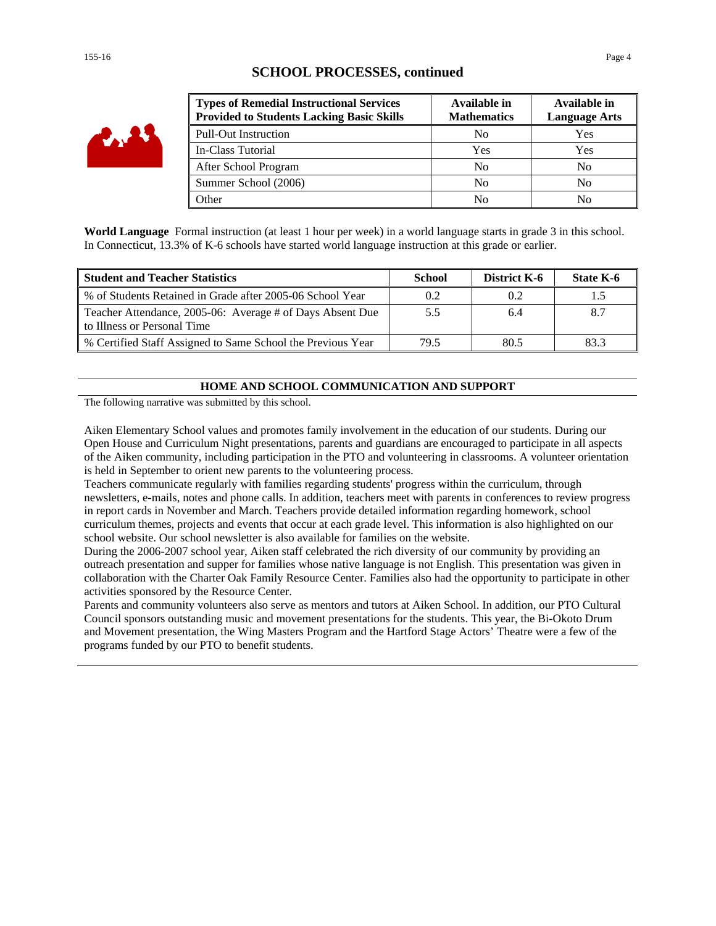| M N |
|-----|
|-----|

## **SCHOOL PROCESSES, continued**

| <b>Types of Remedial Instructional Services</b><br><b>Provided to Students Lacking Basic Skills</b> | Available in<br><b>Mathematics</b> | Available in<br><b>Language Arts</b> |
|-----------------------------------------------------------------------------------------------------|------------------------------------|--------------------------------------|
| <b>Pull-Out Instruction</b>                                                                         | No                                 | Yes                                  |
| In-Class Tutorial                                                                                   | Yes                                | Yes                                  |
| After School Program                                                                                | N <sub>0</sub>                     | No                                   |
| Summer School (2006)                                                                                | N <sub>0</sub>                     | No                                   |
| Other                                                                                               | N <sub>0</sub>                     | No                                   |

**World Language** Formal instruction (at least 1 hour per week) in a world language starts in grade 3 in this school. In Connecticut, 13.3% of K-6 schools have started world language instruction at this grade or earlier.

| <b>Student and Teacher Statistics</b>                                                    | School | District K-6 | State K-6 |
|------------------------------------------------------------------------------------------|--------|--------------|-----------|
| % of Students Retained in Grade after 2005-06 School Year                                | 0.2    | 0.2          |           |
| Teacher Attendance, 2005-06: Average # of Days Absent Due<br>to Illness or Personal Time | 5.5    | 6.4          |           |
| % Certified Staff Assigned to Same School the Previous Year                              | 79.5   | 80.5         | 83.3      |

#### **HOME AND SCHOOL COMMUNICATION AND SUPPORT**

The following narrative was submitted by this school.

Aiken Elementary School values and promotes family involvement in the education of our students. During our Open House and Curriculum Night presentations, parents and guardians are encouraged to participate in all aspects of the Aiken community, including participation in the PTO and volunteering in classrooms. A volunteer orientation is held in September to orient new parents to the volunteering process.

Teachers communicate regularly with families regarding students' progress within the curriculum, through newsletters, e-mails, notes and phone calls. In addition, teachers meet with parents in conferences to review progress in report cards in November and March. Teachers provide detailed information regarding homework, school curriculum themes, projects and events that occur at each grade level. This information is also highlighted on our school website. Our school newsletter is also available for families on the website.

During the 2006-2007 school year, Aiken staff celebrated the rich diversity of our community by providing an outreach presentation and supper for families whose native language is not English. This presentation was given in collaboration with the Charter Oak Family Resource Center. Families also had the opportunity to participate in other activities sponsored by the Resource Center.

Parents and community volunteers also serve as mentors and tutors at Aiken School. In addition, our PTO Cultural Council sponsors outstanding music and movement presentations for the students. This year, the Bi-Okoto Drum and Movement presentation, the Wing Masters Program and the Hartford Stage Actors' Theatre were a few of the programs funded by our PTO to benefit students.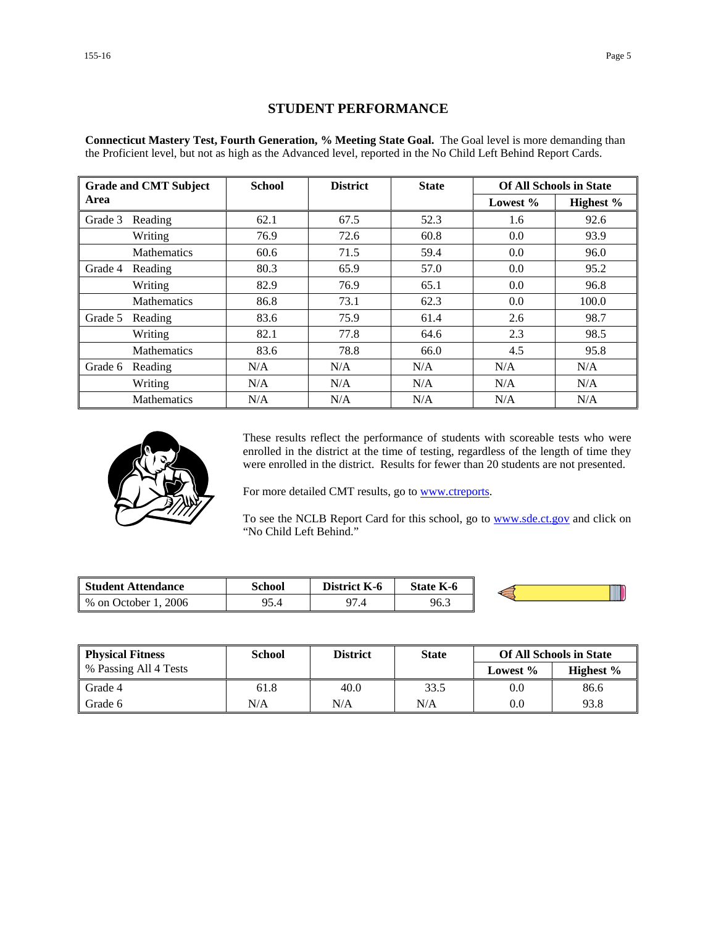# **STUDENT PERFORMANCE**

**Connecticut Mastery Test, Fourth Generation, % Meeting State Goal.** The Goal level is more demanding than the Proficient level, but not as high as the Advanced level, reported in the No Child Left Behind Report Cards.

|         | <b>Grade and CMT Subject</b> | <b>School</b> | <b>District</b> | <b>State</b> |          | <b>Of All Schools in State</b> |
|---------|------------------------------|---------------|-----------------|--------------|----------|--------------------------------|
| Area    |                              |               |                 |              | Lowest % | Highest %                      |
| Grade 3 | Reading                      | 62.1          | 67.5            | 52.3         | 1.6      | 92.6                           |
|         | Writing                      | 76.9          | 72.6            | 60.8         | 0.0      | 93.9                           |
|         | <b>Mathematics</b>           | 60.6          | 71.5            | 59.4         | 0.0      | 96.0                           |
| Grade 4 | Reading                      | 80.3          | 65.9            | 57.0         | 0.0      | 95.2                           |
|         | Writing                      | 82.9          | 76.9            | 65.1         | 0.0      | 96.8                           |
|         | <b>Mathematics</b>           | 86.8          | 73.1            | 62.3         | 0.0      | 100.0                          |
| Grade 5 | Reading                      | 83.6          | 75.9            | 61.4         | 2.6      | 98.7                           |
|         | Writing                      | 82.1          | 77.8            | 64.6         | 2.3      | 98.5                           |
|         | <b>Mathematics</b>           | 83.6          | 78.8            | 66.0         | 4.5      | 95.8                           |
| Grade 6 | Reading                      | N/A           | N/A             | N/A          | N/A      | N/A                            |
|         | Writing                      | N/A           | N/A             | N/A          | N/A      | N/A                            |
|         | <b>Mathematics</b>           | N/A           | N/A             | N/A          | N/A      | N/A                            |



These results reflect the performance of students with scoreable tests who were enrolled in the district at the time of testing, regardless of the length of time they were enrolled in the district. Results for fewer than 20 students are not presented.

For more detailed CMT results, go to **www.ctreports**.

To see the NCLB Report Card for this school, go to **[www.sde.ct.gov](http://www.sde.ct.gov/)** and click on "No Child Left Behind."

| Student Attendance     | School | K-6<br>District. | <b>State K-6</b> |  |
|------------------------|--------|------------------|------------------|--|
| 2006<br>% on October 1 | 95.4   | 07<br>, 4        | 96.3             |  |

| <b>Physical Fitness</b> | <b>School</b> | <b>District</b> | <b>State</b> |          | <b>Of All Schools in State</b> |
|-------------------------|---------------|-----------------|--------------|----------|--------------------------------|
| % Passing All 4 Tests   |               |                 |              | Lowest % | Highest $\%$                   |
| Grade 4                 | 61.8          | 40.0            | 33.5         | 0.0      | 86.6                           |
| Grade 6                 | N/A           | N/A             | N/A          | 0.0      | 93.8                           |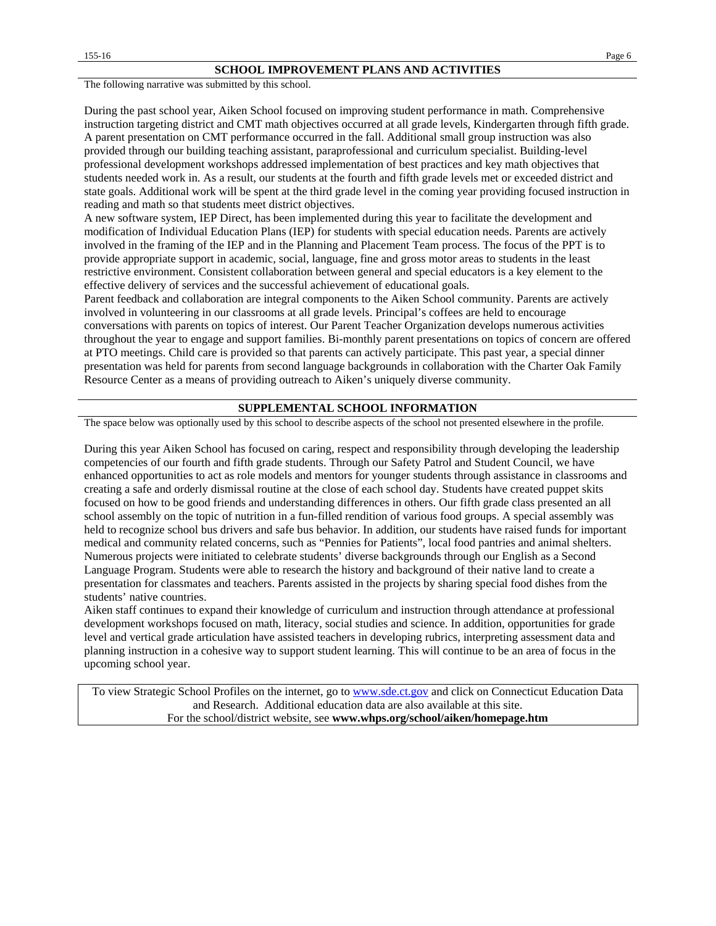The following narrative was submitted by this school.

During the past school year, Aiken School focused on improving student performance in math. Comprehensive instruction targeting district and CMT math objectives occurred at all grade levels, Kindergarten through fifth grade. A parent presentation on CMT performance occurred in the fall. Additional small group instruction was also provided through our building teaching assistant, paraprofessional and curriculum specialist. Building-level professional development workshops addressed implementation of best practices and key math objectives that students needed work in. As a result, our students at the fourth and fifth grade levels met or exceeded district and state goals. Additional work will be spent at the third grade level in the coming year providing focused instruction in reading and math so that students meet district objectives.

A new software system, IEP Direct, has been implemented during this year to facilitate the development and modification of Individual Education Plans (IEP) for students with special education needs. Parents are actively involved in the framing of the IEP and in the Planning and Placement Team process. The focus of the PPT is to provide appropriate support in academic, social, language, fine and gross motor areas to students in the least restrictive environment. Consistent collaboration between general and special educators is a key element to the effective delivery of services and the successful achievement of educational goals.

Parent feedback and collaboration are integral components to the Aiken School community. Parents are actively involved in volunteering in our classrooms at all grade levels. Principal's coffees are held to encourage conversations with parents on topics of interest. Our Parent Teacher Organization develops numerous activities throughout the year to engage and support families. Bi-monthly parent presentations on topics of concern are offered at PTO meetings. Child care is provided so that parents can actively participate. This past year, a special dinner presentation was held for parents from second language backgrounds in collaboration with the Charter Oak Family Resource Center as a means of providing outreach to Aiken's uniquely diverse community.

#### **SUPPLEMENTAL SCHOOL INFORMATION**

The space below was optionally used by this school to describe aspects of the school not presented elsewhere in the profile.

During this year Aiken School has focused on caring, respect and responsibility through developing the leadership competencies of our fourth and fifth grade students. Through our Safety Patrol and Student Council, we have enhanced opportunities to act as role models and mentors for younger students through assistance in classrooms and creating a safe and orderly dismissal routine at the close of each school day. Students have created puppet skits focused on how to be good friends and understanding differences in others. Our fifth grade class presented an all school assembly on the topic of nutrition in a fun-filled rendition of various food groups. A special assembly was held to recognize school bus drivers and safe bus behavior. In addition, our students have raised funds for important medical and community related concerns, such as "Pennies for Patients", local food pantries and animal shelters. Numerous projects were initiated to celebrate students' diverse backgrounds through our English as a Second Language Program. Students were able to research the history and background of their native land to create a presentation for classmates and teachers. Parents assisted in the projects by sharing special food dishes from the students' native countries.

Aiken staff continues to expand their knowledge of curriculum and instruction through attendance at professional development workshops focused on math, literacy, social studies and science. In addition, opportunities for grade level and vertical grade articulation have assisted teachers in developing rubrics, interpreting assessment data and planning instruction in a cohesive way to support student learning. This will continue to be an area of focus in the upcoming school year.

To view Strategic School Profiles on the internet, go to [www.sde.ct.gov](http://www.sde.ct.gov/) and click on Connecticut Education Data and Research. Additional education data are also available at this site. For the school/district website, see **www.whps.org/school/aiken/homepage.htm**